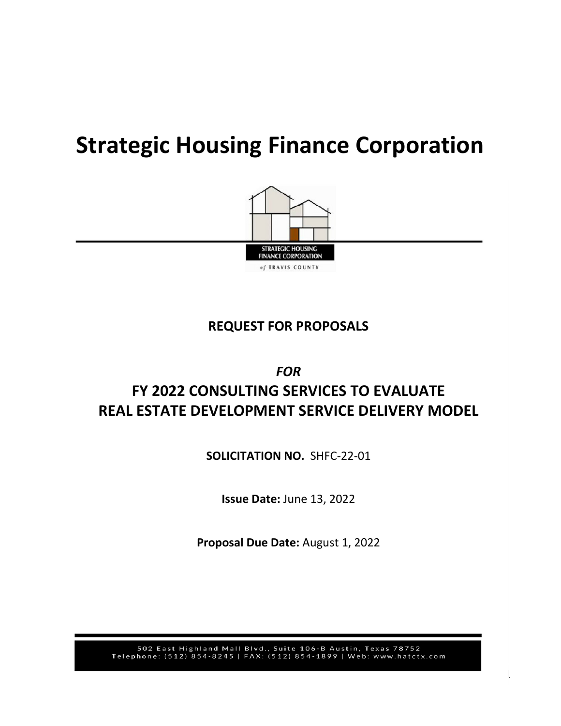# **Strategic Housing Finance Corporation**



# **REQUEST FOR PROPOSALS**

# *FOR* **FY 2022 CONSULTING SERVICES TO EVALUATE REAL ESTATE DEVELOPMENT SERVICE DELIVERY MODEL**

**SOLICITATION NO.** SHFC-22-01

**Issue Date:** June 13, 2022

**Proposal Due Date:** August 1, 2022

502 East Highland Mall Blvd., Suite 106-B Austin, Texas 78752<br>Telephone: (512) 854-8245 | FAX: (512) 854-1899 | Web: www.hatctx.com

1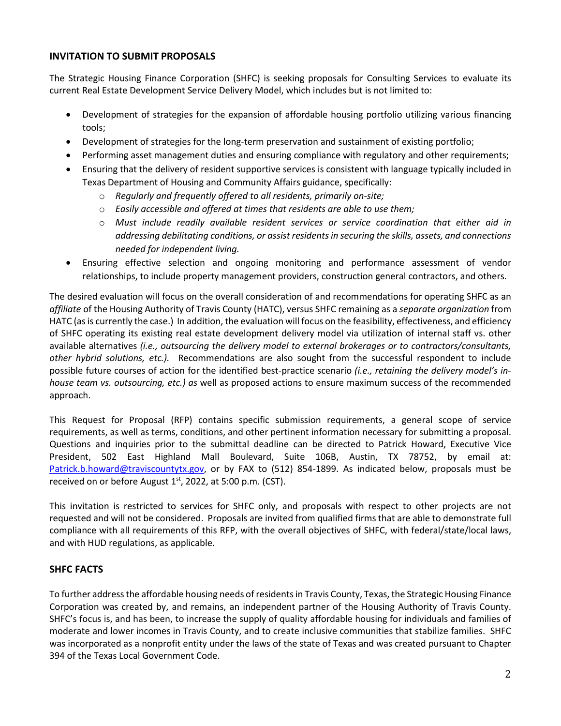# **INVITATION TO SUBMIT PROPOSALS**

The Strategic Housing Finance Corporation (SHFC) is seeking proposals for Consulting Services to evaluate its current Real Estate Development Service Delivery Model, which includes but is not limited to:

- Development of strategies for the expansion of affordable housing portfolio utilizing various financing tools;
- Development of strategies for the long-term preservation and sustainment of existing portfolio;
- Performing asset management duties and ensuring compliance with regulatory and other requirements;
- Ensuring that the delivery of resident supportive services is consistent with language typically included in Texas Department of Housing and Community Affairs guidance, specifically:
	- o *Regularly and frequently offered to all residents, primarily on-site;*
	- o *Easily accessible and offered at times that residents are able to use them;*
	- o *Must include readily available resident services or service coordination that either aid in addressing debilitating conditions, or assist residents in securing the skills, assets, and connections needed for independent living.*
- Ensuring effective selection and ongoing monitoring and performance assessment of vendor relationships, to include property management providers, construction general contractors, and others.

The desired evaluation will focus on the overall consideration of and recommendations for operating SHFC as an *affiliate* of the Housing Authority of Travis County (HATC), versus SHFC remaining as a *separate organization* from HATC (as is currently the case.) In addition, the evaluation will focus on the feasibility, effectiveness, and efficiency of SHFC operating its existing real estate development delivery model via utilization of internal staff vs. other available alternatives *(i.e., outsourcing the delivery model to external brokerages or to contractors/consultants, other hybrid solutions, etc.).* Recommendations are also sought from the successful respondent to include possible future courses of action for the identified best-practice scenario *(i.e., retaining the delivery model's inhouse team vs. outsourcing, etc.) as* well as proposed actions to ensure maximum success of the recommended approach.

This Request for Proposal (RFP) contains specific submission requirements, a general scope of service requirements, as well as terms, conditions, and other pertinent information necessary for submitting a proposal. Questions and inquiries prior to the submittal deadline can be directed to Patrick Howard, Executive Vice President, 502 East Highland Mall Boulevard, Suite 106B, Austin, TX 78752, by email at: [Patrick.b.howard@traviscountytx.gov,](mailto:Patrick.b.howard@traviscountytx.gov) or by FAX to (512) 854-1899. As indicated below, proposals must be received on or before August  $1<sup>st</sup>$ , 2022, at 5:00 p.m. (CST).

This invitation is restricted to services for SHFC only, and proposals with respect to other projects are not requested and will not be considered. Proposals are invited from qualified firms that are able to demonstrate full compliance with all requirements of this RFP, with the overall objectives of SHFC, with federal/state/local laws, and with HUD regulations, as applicable.

# **SHFC FACTS**

To further address the affordable housing needs of residents in Travis County, Texas, the Strategic Housing Finance Corporation was created by, and remains, an independent partner of the Housing Authority of Travis County. SHFC's focus is, and has been, to increase the supply of quality affordable housing for individuals and families of moderate and lower incomes in Travis County, and to create inclusive communities that stabilize families. SHFC was incorporated as a nonprofit entity under the laws of the state of Texas and was created pursuant to Chapter 394 of the Texas Local Government Code.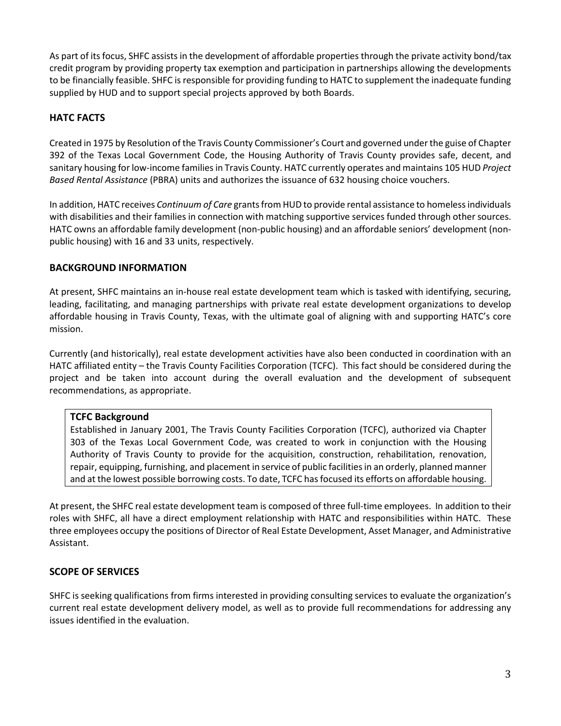As part of its focus, SHFC assists in the development of affordable properties through the private activity bond/tax credit program by providing property tax exemption and participation in partnerships allowing the developments to be financially feasible. SHFC is responsible for providing funding to HATC to supplement the inadequate funding supplied by HUD and to support special projects approved by both Boards.

# **HATC FACTS**

Created in 1975 by Resolution of the Travis County Commissioner's Court and governed under the guise of Chapter 392 of the Texas Local Government Code, the Housing Authority of Travis County provides safe, decent, and sanitary housing for low-income families in Travis County. HATC currently operates and maintains 105 HUD *Project Based Rental Assistance* (PBRA) units and authorizes the issuance of 632 housing choice vouchers.

In addition, HATC receives *Continuum of Care* grants from HUD to provide rental assistance to homeless individuals with disabilities and their families in connection with matching supportive services funded through other sources. HATC owns an affordable family development (non-public housing) and an affordable seniors' development (nonpublic housing) with 16 and 33 units, respectively.

# **BACKGROUND INFORMATION**

At present, SHFC maintains an in-house real estate development team which is tasked with identifying, securing, leading, facilitating, and managing partnerships with private real estate development organizations to develop affordable housing in Travis County, Texas, with the ultimate goal of aligning with and supporting HATC's core mission.

Currently (and historically), real estate development activities have also been conducted in coordination with an HATC affiliated entity – the Travis County Facilities Corporation (TCFC). This fact should be considered during the project and be taken into account during the overall evaluation and the development of subsequent recommendations, as appropriate.

# **TCFC Background**

Established in January 2001, The Travis County Facilities Corporation (TCFC), authorized via Chapter 303 of the Texas Local Government Code, was created to work in conjunction with the Housing Authority of Travis County to provide for the acquisition, construction, rehabilitation, renovation, repair, equipping, furnishing, and placement in service of public facilities in an orderly, planned manner and at the lowest possible borrowing costs. To date, TCFC has focused its efforts on affordable housing.

At present, the SHFC real estate development team is composed of three full-time employees. In addition to their roles with SHFC, all have a direct employment relationship with HATC and responsibilities within HATC. These three employees occupy the positions of Director of Real Estate Development, Asset Manager, and Administrative Assistant.

# **SCOPE OF SERVICES**

SHFC is seeking qualifications from firms interested in providing consulting services to evaluate the organization's current real estate development delivery model, as well as to provide full recommendations for addressing any issues identified in the evaluation.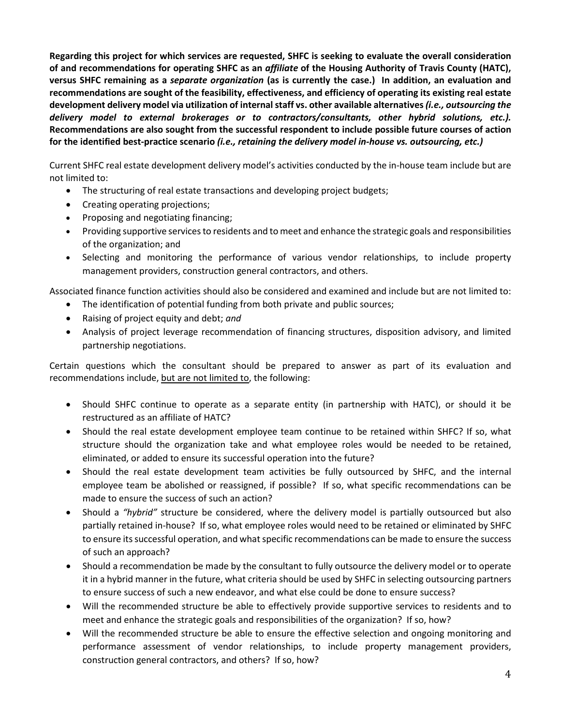**Regarding this project for which services are requested, SHFC is seeking to evaluate the overall consideration of and recommendations for operating SHFC as an** *affiliate* **of the Housing Authority of Travis County (HATC), versus SHFC remaining as a** *separate organization* **(as is currently the case.) In addition, an evaluation and recommendations are sought of the feasibility, effectiveness, and efficiency of operating its existing real estate development delivery model via utilization of internal staff vs. other available alternatives** *(i.e., outsourcing the delivery model to external brokerages or to contractors/consultants, other hybrid solutions, etc.).* **Recommendations are also sought from the successful respondent to include possible future courses of action for the identified best-practice scenario** *(i.e., retaining the delivery model in-house vs. outsourcing, etc.)*

Current SHFC real estate development delivery model's activities conducted by the in-house team include but are not limited to:

- The structuring of real estate transactions and developing project budgets;
- Creating operating projections;
- Proposing and negotiating financing;
- Providing supportive services to residents and to meet and enhance the strategic goals and responsibilities of the organization; and
- Selecting and monitoring the performance of various vendor relationships, to include property management providers, construction general contractors, and others.

Associated finance function activities should also be considered and examined and include but are not limited to:

- The identification of potential funding from both private and public sources;
- Raising of project equity and debt; *and*
- Analysis of project leverage recommendation of financing structures, disposition advisory, and limited partnership negotiations.

Certain questions which the consultant should be prepared to answer as part of its evaluation and recommendations include, but are not limited to, the following:

- Should SHFC continue to operate as a separate entity (in partnership with HATC), or should it be restructured as an affiliate of HATC?
- Should the real estate development employee team continue to be retained within SHFC? If so, what structure should the organization take and what employee roles would be needed to be retained, eliminated, or added to ensure its successful operation into the future?
- Should the real estate development team activities be fully outsourced by SHFC, and the internal employee team be abolished or reassigned, if possible? If so, what specific recommendations can be made to ensure the success of such an action?
- Should a *"hybrid"* structure be considered, where the delivery model is partially outsourced but also partially retained in-house? If so, what employee roles would need to be retained or eliminated by SHFC to ensure its successful operation, and what specific recommendations can be made to ensure the success of such an approach?
- Should a recommendation be made by the consultant to fully outsource the delivery model or to operate it in a hybrid manner in the future, what criteria should be used by SHFC in selecting outsourcing partners to ensure success of such a new endeavor, and what else could be done to ensure success?
- Will the recommended structure be able to effectively provide supportive services to residents and to meet and enhance the strategic goals and responsibilities of the organization? If so, how?
- Will the recommended structure be able to ensure the effective selection and ongoing monitoring and performance assessment of vendor relationships, to include property management providers, construction general contractors, and others? If so, how?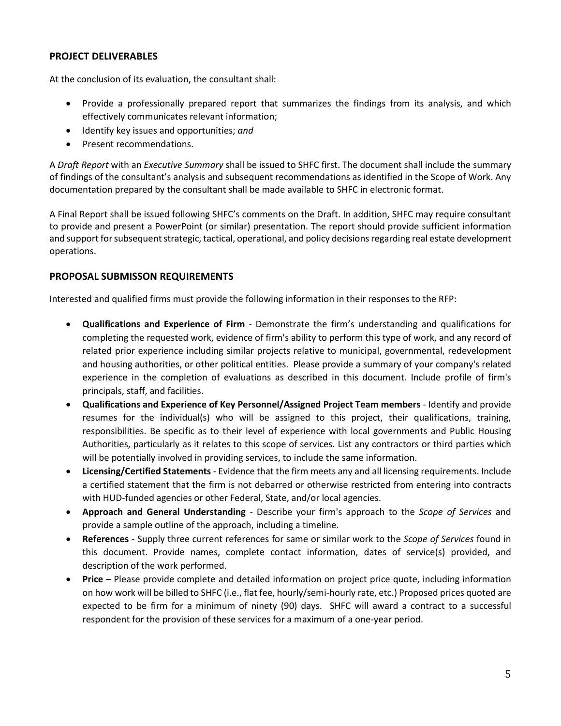# **PROJECT DELIVERABLES**

At the conclusion of its evaluation, the consultant shall:

- Provide a professionally prepared report that summarizes the findings from its analysis, and which effectively communicates relevant information;
- Identify key issues and opportunities; *and*
- Present recommendations.

A *Draft Report* with an *Executive Summary* shall be issued to SHFC first. The document shall include the summary of findings of the consultant's analysis and subsequent recommendations as identified in the Scope of Work. Any documentation prepared by the consultant shall be made available to SHFC in electronic format.

A Final Report shall be issued following SHFC's comments on the Draft. In addition, SHFC may require consultant to provide and present a PowerPoint (or similar) presentation. The report should provide sufficient information and support for subsequent strategic, tactical, operational, and policy decisions regarding real estate development operations.

# **PROPOSAL SUBMISSON REQUIREMENTS**

Interested and qualified firms must provide the following information in their responses to the RFP:

- **Qualifications and Experience of Firm** Demonstrate the firm's understanding and qualifications for completing the requested work, evidence of firm's ability to perform this type of work, and any record of related prior experience including similar projects relative to municipal, governmental, redevelopment and housing authorities, or other political entities. Please provide a summary of your company's related experience in the completion of evaluations as described in this document. Include profile of firm's principals, staff, and facilities.
- **Qualifications and Experience of Key Personnel/Assigned Project Team members** Identify and provide resumes for the individual(s) who will be assigned to this project, their qualifications, training, responsibilities. Be specific as to their level of experience with local governments and Public Housing Authorities, particularly as it relates to this scope of services. List any contractors or third parties which will be potentially involved in providing services, to include the same information.
- **Licensing/Certified Statements** Evidence that the firm meets any and all licensing requirements. Include a certified statement that the firm is not debarred or otherwise restricted from entering into contracts with HUD-funded agencies or other Federal, State, and/or local agencies.
- **Approach and General Understanding** Describe your firm's approach to the *Scope of Services* and provide a sample outline of the approach, including a timeline.
- **References** Supply three current references for same or similar work to the *Scope of Services* found in this document. Provide names, complete contact information, dates of service(s) provided, and description of the work performed.
- **Price** Please provide complete and detailed information on project price quote, including information on how work will be billed to SHFC (i.e., flat fee, hourly/semi-hourly rate, etc.) Proposed prices quoted are expected to be firm for a minimum of ninety (90) days. SHFC will award a contract to a successful respondent for the provision of these services for a maximum of a one-year period.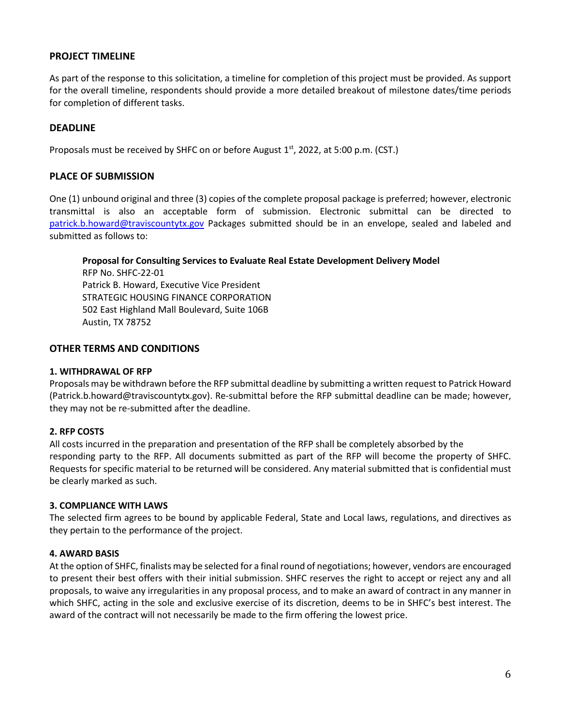# **PROJECT TIMELINE**

As part of the response to this solicitation, a timeline for completion of this project must be provided. As support for the overall timeline, respondents should provide a more detailed breakout of milestone dates/time periods for completion of different tasks.

# **DEADLINE**

Proposals must be received by SHFC on or before August  $1<sup>st</sup>$ , 2022, at 5:00 p.m. (CST.)

# **PLACE OF SUBMISSION**

One (1) unbound original and three (3) copies of the complete proposal package is preferred; however, electronic transmittal is also an acceptable form of submission. Electronic submittal can be directed to [patrick.b.howard@traviscountytx.gov](mailto:patrick.b.howard@traviscountytx.gov) Packages submitted should be in an envelope, sealed and labeled and submitted as follows to:

**Proposal for Consulting Services to Evaluate Real Estate Development Delivery Model**

RFP No. SHFC-22-01 Patrick B. Howard, Executive Vice President STRATEGIC HOUSING FINANCE CORPORATION 502 East Highland Mall Boulevard, Suite 106B Austin, TX 78752

# **OTHER TERMS AND CONDITIONS**

#### **1. WITHDRAWAL OF RFP**

Proposals may be withdrawn before the RFP submittal deadline by submitting a written request to Patrick Howard (Patrick.b.howard@traviscountytx.gov). Re-submittal before the RFP submittal deadline can be made; however, they may not be re-submitted after the deadline.

# **2. RFP COSTS**

All costs incurred in the preparation and presentation of the RFP shall be completely absorbed by the responding party to the RFP. All documents submitted as part of the RFP will become the property of SHFC. Requests for specific material to be returned will be considered. Any material submitted that is confidential must be clearly marked as such.

#### **3. COMPLIANCE WITH LAWS**

The selected firm agrees to be bound by applicable Federal, State and Local laws, regulations, and directives as they pertain to the performance of the project.

# **4. AWARD BASIS**

At the option of SHFC, finalists may be selected for a final round of negotiations; however, vendors are encouraged to present their best offers with their initial submission. SHFC reserves the right to accept or reject any and all proposals, to waive any irregularities in any proposal process, and to make an award of contract in any manner in which SHFC, acting in the sole and exclusive exercise of its discretion, deems to be in SHFC's best interest. The award of the contract will not necessarily be made to the firm offering the lowest price.